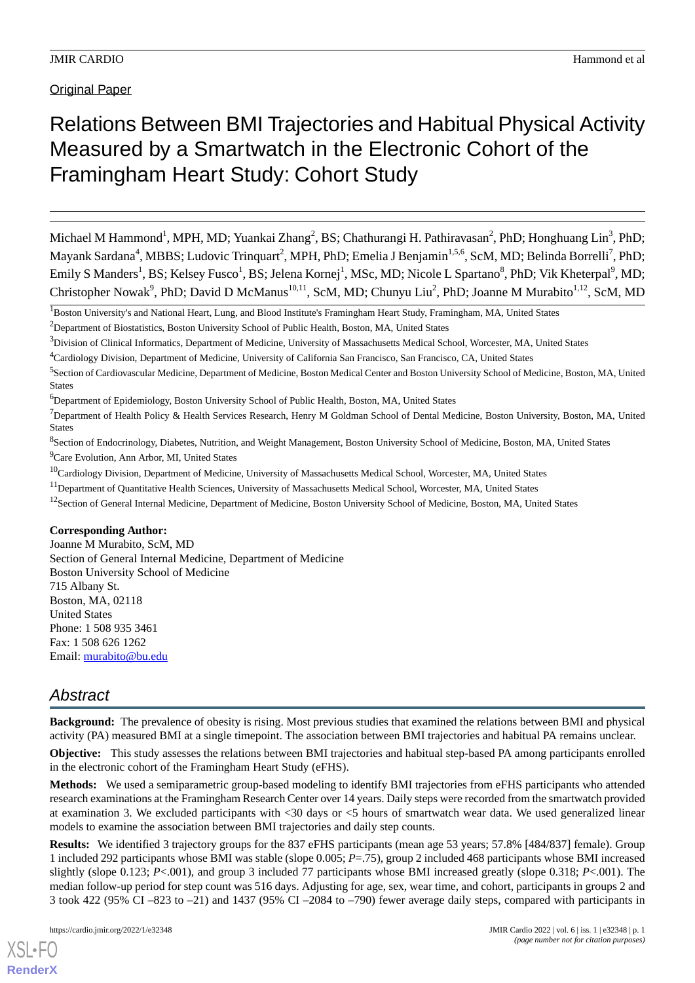**Original Paper** 

# Relations Between BMI Trajectories and Habitual Physical Activity Measured by a Smartwatch in the Electronic Cohort of the Framingham Heart Study: Cohort Study

Michael M Hammond<sup>1</sup>, MPH, MD; Yuankai Zhang<sup>2</sup>, BS; Chathurangi H. Pathiravasan<sup>2</sup>, PhD; Honghuang Lin<sup>3</sup>, PhD; Mayank Sardana<sup>4</sup>, MBBS; Ludovic Trinquart<sup>2</sup>, MPH, PhD; Emelia J Benjamin<sup>1,5,6</sup>, ScM, MD; Belinda Borrelli<sup>7</sup>, PhD; Emily S Manders<sup>1</sup>, BS; Kelsey Fusco<sup>1</sup>, BS; Jelena Kornej<sup>1</sup>, MSc, MD; Nicole L Spartano<sup>8</sup>, PhD; Vik Kheterpal<sup>9</sup>, MD; Christopher Nowak<sup>9</sup>, PhD; David D McManus<sup>10,11</sup>, ScM, MD; Chunyu Liu<sup>2</sup>, PhD; Joanne M Murabito<sup>1,12</sup>, ScM, MD

<sup>1</sup>Boston University's and National Heart, Lung, and Blood Institute's Framingham Heart Study, Framingham, MA, United States

<sup>2</sup>Department of Biostatistics, Boston University School of Public Health, Boston, MA, United States

- $3$ Division of Clinical Informatics, Department of Medicine, University of Massachusetts Medical School, Worcester, MA, United States
- <sup>4</sup>Cardiology Division, Department of Medicine, University of California San Francisco, San Francisco, CA, United States

<sup>6</sup>Department of Epidemiology, Boston University School of Public Health, Boston, MA, United States

- <sup>8</sup>Section of Endocrinology, Diabetes, Nutrition, and Weight Management, Boston University School of Medicine, Boston, MA, United States <sup>9</sup>Care Evolution, Ann Arbor, MI, United States
- <sup>10</sup>Cardiology Division, Department of Medicine, University of Massachusetts Medical School, Worcester, MA, United States
- <sup>11</sup>Department of Quantitative Health Sciences, University of Massachusetts Medical School, Worcester, MA, United States
- <sup>12</sup>Section of General Internal Medicine, Department of Medicine, Boston University School of Medicine, Boston, MA, United States

#### **Corresponding Author:**

Joanne M Murabito, ScM, MD Section of General Internal Medicine, Department of Medicine Boston University School of Medicine 715 Albany St. Boston, MA, 02118 United States Phone: 1 508 935 3461 Fax: 1 508 626 1262 Email: [murabito@bu.edu](mailto:murabito@bu.edu)

## *Abstract*

**Background:** The prevalence of obesity is rising. Most previous studies that examined the relations between BMI and physical activity (PA) measured BMI at a single timepoint. The association between BMI trajectories and habitual PA remains unclear.

**Objective:** This study assesses the relations between BMI trajectories and habitual step-based PA among participants enrolled in the electronic cohort of the Framingham Heart Study (eFHS).

**Methods:** We used a semiparametric group-based modeling to identify BMI trajectories from eFHS participants who attended research examinations at the Framingham Research Center over 14 years. Daily steps were recorded from the smartwatch provided at examination 3. We excluded participants with <30 days or <5 hours of smartwatch wear data. We used generalized linear models to examine the association between BMI trajectories and daily step counts.

**Results:** We identified 3 trajectory groups for the 837 eFHS participants (mean age 53 years; 57.8% [484/837] female). Group 1 included 292 participants whose BMI was stable (slope 0.005; *P*=.75), group 2 included 468 participants whose BMI increased slightly (slope 0.123; *P*<.001), and group 3 included 77 participants whose BMI increased greatly (slope 0.318; *P*<.001). The median follow-up period for step count was 516 days. Adjusting for age, sex, wear time, and cohort, participants in groups 2 and 3 took 422 (95% CI –823 to –21) and 1437 (95% CI –2084 to –790) fewer average daily steps, compared with participants in

<sup>&</sup>lt;sup>5</sup> Section of Cardiovascular Medicine, Department of Medicine, Boston Medical Center and Boston University School of Medicine, Boston, MA, United States

<sup>&</sup>lt;sup>7</sup>Department of Health Policy & Health Services Research, Henry M Goldman School of Dental Medicine, Boston University, Boston, MA, United States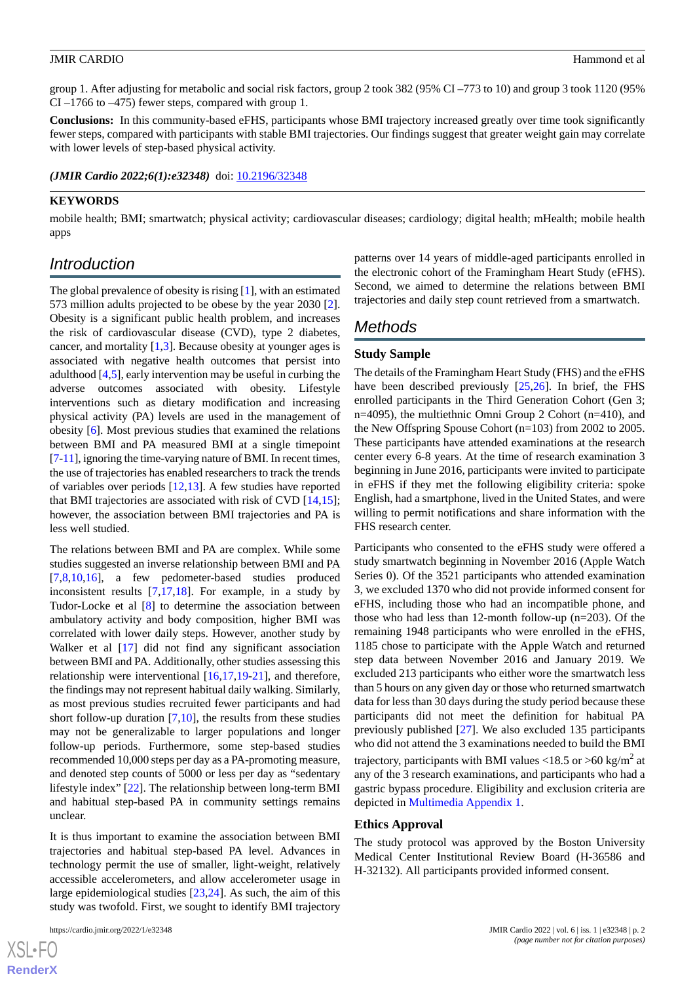group 1. After adjusting for metabolic and social risk factors, group 2 took 382 (95% CI –773 to 10) and group 3 took 1120 (95% CI –1766 to –475) fewer steps, compared with group 1.

**Conclusions:** In this community-based eFHS, participants whose BMI trajectory increased greatly over time took significantly fewer steps, compared with participants with stable BMI trajectories. Our findings suggest that greater weight gain may correlate with lower levels of step-based physical activity.

*(JMIR Cardio 2022;6(1):e32348)* doi: [10.2196/32348](http://dx.doi.org/10.2196/32348)

### **KEYWORDS**

mobile health; BMI; smartwatch; physical activity; cardiovascular diseases; cardiology; digital health; mHealth; mobile health apps

## *Introduction*

The global prevalence of obesity is rising [\[1](#page-8-0)], with an estimated 573 million adults projected to be obese by the year 2030 [[2\]](#page-8-1). Obesity is a significant public health problem, and increases the risk of cardiovascular disease (CVD), type 2 diabetes, cancer, and mortality [\[1](#page-8-0),[3\]](#page-8-2). Because obesity at younger ages is associated with negative health outcomes that persist into adulthood [[4](#page-8-3)[,5](#page-8-4)], early intervention may be useful in curbing the adverse outcomes associated with obesity. Lifestyle interventions such as dietary modification and increasing physical activity (PA) levels are used in the management of obesity [[6\]](#page-8-5). Most previous studies that examined the relations between BMI and PA measured BMI at a single timepoint [[7-](#page-8-6)[11\]](#page-8-7), ignoring the time-varying nature of BMI. In recent times, the use of trajectories has enabled researchers to track the trends of variables over periods [[12](#page-8-8)[,13](#page-8-9)]. A few studies have reported that BMI trajectories are associated with risk of CVD [\[14](#page-8-10),[15\]](#page-8-11); however, the association between BMI trajectories and PA is less well studied.

The relations between BMI and PA are complex. While some studies suggested an inverse relationship between BMI and PA [[7](#page-8-6)[,8](#page-8-12),[10](#page-8-13)[,16](#page-8-14)], a few pedometer-based studies produced inconsistent results [\[7](#page-8-6),[17](#page-8-15)[,18](#page-9-0)]. For example, in a study by Tudor-Locke et al [[8\]](#page-8-12) to determine the association between ambulatory activity and body composition, higher BMI was correlated with lower daily steps. However, another study by Walker et al [[17\]](#page-8-15) did not find any significant association between BMI and PA. Additionally, other studies assessing this relationship were interventional [[16](#page-8-14)[,17](#page-8-15),[19-](#page-9-1)[21](#page-9-2)], and therefore, the findings may not represent habitual daily walking. Similarly, as most previous studies recruited fewer participants and had short follow-up duration  $[7,10]$  $[7,10]$  $[7,10]$ , the results from these studies may not be generalizable to larger populations and longer follow-up periods. Furthermore, some step-based studies recommended 10,000 steps per day as a PA-promoting measure, and denoted step counts of 5000 or less per day as "sedentary lifestyle index" [\[22](#page-9-3)]. The relationship between long-term BMI and habitual step-based PA in community settings remains unclear.

It is thus important to examine the association between BMI trajectories and habitual step-based PA level. Advances in technology permit the use of smaller, light-weight, relatively accessible accelerometers, and allow accelerometer usage in large epidemiological studies [[23,](#page-9-4)[24](#page-9-5)]. As such, the aim of this study was twofold. First, we sought to identify BMI trajectory

 $XS$  • FO **[RenderX](http://www.renderx.com/)** patterns over 14 years of middle-aged participants enrolled in the electronic cohort of the Framingham Heart Study (eFHS). Second, we aimed to determine the relations between BMI trajectories and daily step count retrieved from a smartwatch.

## *Methods*

#### **Study Sample**

The details of the Framingham Heart Study (FHS) and the eFHS have been described previously [\[25](#page-9-6),[26\]](#page-9-7). In brief, the FHS enrolled participants in the Third Generation Cohort (Gen 3; n=4095), the multiethnic Omni Group 2 Cohort (n=410), and the New Offspring Spouse Cohort (n=103) from 2002 to 2005. These participants have attended examinations at the research center every 6-8 years. At the time of research examination 3 beginning in June 2016, participants were invited to participate in eFHS if they met the following eligibility criteria: spoke English, had a smartphone, lived in the United States, and were willing to permit notifications and share information with the FHS research center.

Participants who consented to the eFHS study were offered a study smartwatch beginning in November 2016 (Apple Watch Series 0). Of the 3521 participants who attended examination 3, we excluded 1370 who did not provide informed consent for eFHS, including those who had an incompatible phone, and those who had less than 12-month follow-up (n=203). Of the remaining 1948 participants who were enrolled in the eFHS, 1185 chose to participate with the Apple Watch and returned step data between November 2016 and January 2019. We excluded 213 participants who either wore the smartwatch less than 5 hours on any given day or those who returned smartwatch data for less than 30 days during the study period because these participants did not meet the definition for habitual PA previously published [\[27](#page-9-8)]. We also excluded 135 participants who did not attend the 3 examinations needed to build the BMI trajectory, participants with BMI values <18.5 or >60 kg/m<sup>2</sup> at any of the 3 research examinations, and participants who had a gastric bypass procedure. Eligibility and exclusion criteria are depicted in [Multimedia Appendix 1](#page-7-0).

#### **Ethics Approval**

The study protocol was approved by the Boston University Medical Center Institutional Review Board (H-36586 and H-32132). All participants provided informed consent.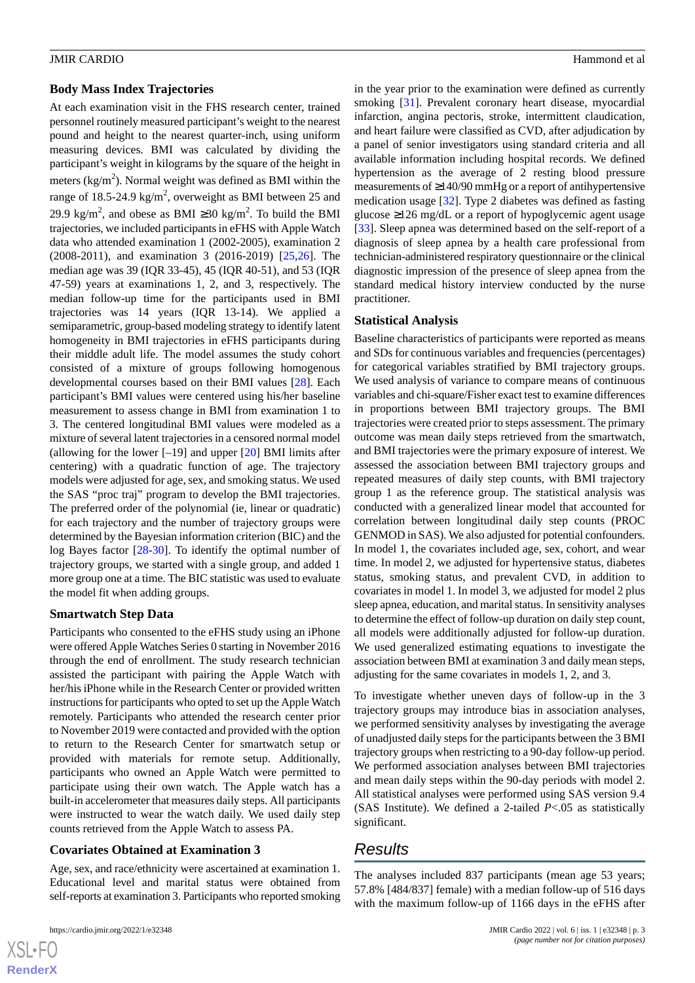#### **Body Mass Index Trajectories**

At each examination visit in the FHS research center, trained personnel routinely measured participant's weight to the nearest pound and height to the nearest quarter-inch, using uniform measuring devices. BMI was calculated by dividing the participant's weight in kilograms by the square of the height in meters (kg/m<sup>2</sup>). Normal weight was defined as BMI within the range of 18.5-24.9 kg/m<sup>2</sup>, overweight as BMI between 25 and 29.9 kg/m<sup>2</sup>, and obese as BMI ≥30 kg/m<sup>2</sup>. To build the BMI trajectories, we included participants in eFHS with Apple Watch data who attended examination 1 (2002-2005), examination 2 (2008-2011), and examination 3 (2016-2019) [[25,](#page-9-6)[26](#page-9-7)]. The median age was 39 (IQR 33-45), 45 (IQR 40-51), and 53 (IQR 47-59) years at examinations 1, 2, and 3, respectively. The median follow-up time for the participants used in BMI trajectories was 14 years (IQR 13-14). We applied a semiparametric, group-based modeling strategy to identify latent homogeneity in BMI trajectories in eFHS participants during their middle adult life. The model assumes the study cohort consisted of a mixture of groups following homogenous developmental courses based on their BMI values [\[28](#page-9-9)]. Each participant's BMI values were centered using his/her baseline measurement to assess change in BMI from examination 1 to 3. The centered longitudinal BMI values were modeled as a mixture of several latent trajectories in a censored normal model (allowing for the lower  $[-19]$  and upper  $[20]$  $[20]$  BMI limits after centering) with a quadratic function of age. The trajectory models were adjusted for age, sex, and smoking status. We used the SAS "proc traj" program to develop the BMI trajectories. The preferred order of the polynomial (ie, linear or quadratic) for each trajectory and the number of trajectory groups were determined by the Bayesian information criterion (BIC) and the log Bayes factor [\[28](#page-9-9)-[30\]](#page-9-11). To identify the optimal number of trajectory groups, we started with a single group, and added 1 more group one at a time. The BIC statistic was used to evaluate the model fit when adding groups.

## **Smartwatch Step Data**

Participants who consented to the eFHS study using an iPhone were offered Apple Watches Series 0 starting in November 2016 through the end of enrollment. The study research technician assisted the participant with pairing the Apple Watch with her/his iPhone while in the Research Center or provided written instructions for participants who opted to set up the Apple Watch remotely. Participants who attended the research center prior to November 2019 were contacted and provided with the option to return to the Research Center for smartwatch setup or provided with materials for remote setup. Additionally, participants who owned an Apple Watch were permitted to participate using their own watch. The Apple watch has a built-in accelerometer that measures daily steps. All participants were instructed to wear the watch daily. We used daily step counts retrieved from the Apple Watch to assess PA.

## **Covariates Obtained at Examination 3**

Age, sex, and race/ethnicity were ascertained at examination 1. Educational level and marital status were obtained from self-reports at examination 3. Participants who reported smoking

 $XS$ -FO **[RenderX](http://www.renderx.com/)** in the year prior to the examination were defined as currently smoking [[31\]](#page-9-12). Prevalent coronary heart disease, myocardial infarction, angina pectoris, stroke, intermittent claudication, and heart failure were classified as CVD, after adjudication by a panel of senior investigators using standard criteria and all available information including hospital records. We defined hypertension as the average of 2 resting blood pressure measurements of ≥140/90 mmHg or a report of antihypertensive medication usage [[32\]](#page-9-13). Type 2 diabetes was defined as fasting glucose ≥126 mg/dL or a report of hypoglycemic agent usage [[33\]](#page-9-14). Sleep apnea was determined based on the self-report of a diagnosis of sleep apnea by a health care professional from technician-administered respiratory questionnaire or the clinical diagnostic impression of the presence of sleep apnea from the standard medical history interview conducted by the nurse practitioner.

#### **Statistical Analysis**

Baseline characteristics of participants were reported as means and SDs for continuous variables and frequencies (percentages) for categorical variables stratified by BMI trajectory groups. We used analysis of variance to compare means of continuous variables and chi-square/Fisher exact test to examine differences in proportions between BMI trajectory groups. The BMI trajectories were created prior to steps assessment. The primary outcome was mean daily steps retrieved from the smartwatch, and BMI trajectories were the primary exposure of interest. We assessed the association between BMI trajectory groups and repeated measures of daily step counts, with BMI trajectory group 1 as the reference group. The statistical analysis was conducted with a generalized linear model that accounted for correlation between longitudinal daily step counts (PROC GENMOD in SAS). We also adjusted for potential confounders. In model 1, the covariates included age, sex, cohort, and wear time. In model 2, we adjusted for hypertensive status, diabetes status, smoking status, and prevalent CVD, in addition to covariates in model 1. In model 3, we adjusted for model 2 plus sleep apnea, education, and marital status. In sensitivity analyses to determine the effect of follow-up duration on daily step count, all models were additionally adjusted for follow-up duration. We used generalized estimating equations to investigate the association between BMI at examination 3 and daily mean steps, adjusting for the same covariates in models 1, 2, and 3.

To investigate whether uneven days of follow-up in the 3 trajectory groups may introduce bias in association analyses, we performed sensitivity analyses by investigating the average of unadjusted daily steps for the participants between the 3 BMI trajectory groups when restricting to a 90-day follow-up period. We performed association analyses between BMI trajectories and mean daily steps within the 90-day periods with model 2. All statistical analyses were performed using SAS version 9.4 (SAS Institute). We defined a 2-tailed *P*<.05 as statistically significant.

## *Results*

The analyses included 837 participants (mean age 53 years; 57.8% [484/837] female) with a median follow-up of 516 days with the maximum follow-up of 1166 days in the eFHS after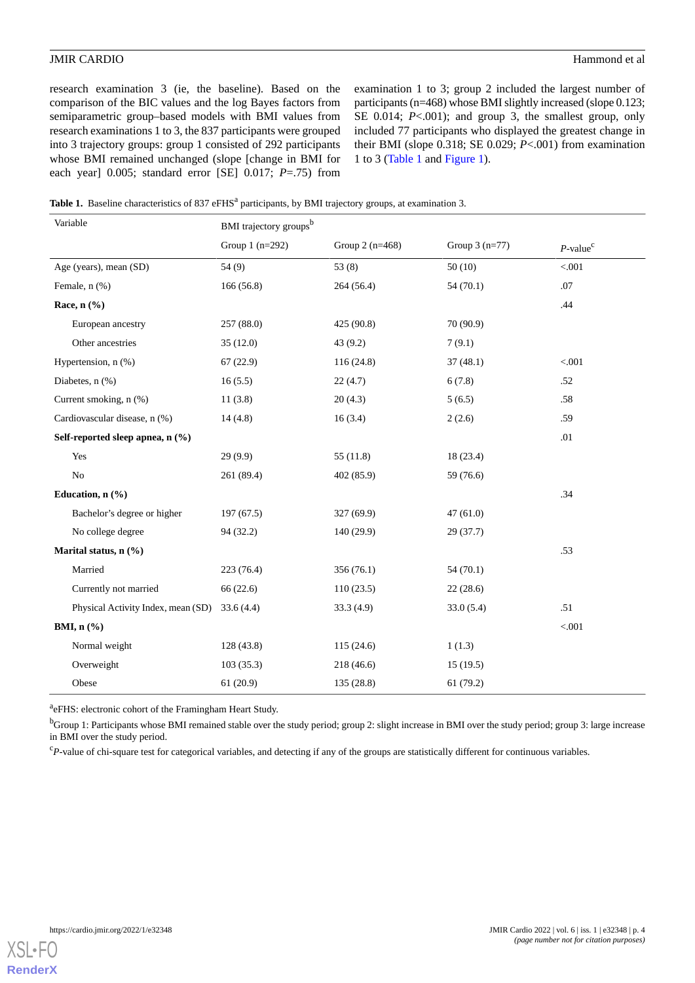research examination 3 (ie, the baseline). Based on the comparison of the BIC values and the log Bayes factors from semiparametric group–based models with BMI values from research examinations 1 to 3, the 837 participants were grouped into 3 trajectory groups: group 1 consisted of 292 participants whose BMI remained unchanged (slope [change in BMI for each year] 0.005; standard error [SE] 0.017; *P*=.75) from

examination 1 to 3; group 2 included the largest number of participants (n=468) whose BMI slightly increased (slope 0.123; SE 0.014; *P*<.001); and group 3, the smallest group, only included 77 participants who displayed the greatest change in their BMI (slope 0.318; SE 0.029; *P*<.001) from examination 1 to 3 [\(Table 1](#page-3-0) and [Figure 1\)](#page-4-0).

<span id="page-3-0"></span>

| Table 1. Baseline characteristics of 837 eFHS <sup>a</sup> participants, by BMI trajectory groups, at examination 3. |  |  |  |  |  |  |
|----------------------------------------------------------------------------------------------------------------------|--|--|--|--|--|--|
|----------------------------------------------------------------------------------------------------------------------|--|--|--|--|--|--|

| Variable                           | BMI trajectory groups <sup>b</sup> |                  |                 |                         |  |  |
|------------------------------------|------------------------------------|------------------|-----------------|-------------------------|--|--|
|                                    | Group $1$ (n=292)                  | Group $2(n=468)$ | Group $3(n=77)$ | $P$ -value <sup>c</sup> |  |  |
| Age (years), mean (SD)             | 54 (9)                             | 53(8)            | 50(10)          | $< 001$                 |  |  |
| Female, n (%)                      | 166 (56.8)                         | 264 (56.4)       | 54(70.1)        | .07                     |  |  |
| Race, $n$ $(\%)$                   |                                    |                  |                 | .44                     |  |  |
| European ancestry                  | 257 (88.0)                         | 425 (90.8)       | 70 (90.9)       |                         |  |  |
| Other ancestries                   | 35(12.0)                           | 43 (9.2)         | 7(9.1)          |                         |  |  |
| Hypertension, n (%)                | 67(22.9)                           | 116 (24.8)       | 37(48.1)        | < 0.001                 |  |  |
| Diabetes, n (%)                    | 16(5.5)                            | 22(4.7)          | 6(7.8)          | .52                     |  |  |
| Current smoking, n (%)             | 11(3.8)                            | 20(4.3)          | 5(6.5)          | .58                     |  |  |
| Cardiovascular disease, n (%)      | 14(4.8)                            | 16(3.4)          | 2(2.6)          | .59                     |  |  |
| Self-reported sleep apnea, n (%)   |                                    |                  |                 | .01                     |  |  |
| Yes                                | 29 (9.9)                           | 55(11.8)         | 18 (23.4)       |                         |  |  |
| N <sub>o</sub>                     | 261 (89.4)                         | 402 (85.9)       | 59 (76.6)       |                         |  |  |
| Education, n (%)                   |                                    |                  |                 | .34                     |  |  |
| Bachelor's degree or higher        | 197(67.5)                          | 327 (69.9)       | 47(61.0)        |                         |  |  |
| No college degree                  | 94 (32.2)                          | 140 (29.9)       | 29(37.7)        |                         |  |  |
| Marital status, n (%)              |                                    |                  |                 | .53                     |  |  |
| Married                            | 223 (76.4)                         | 356 (76.1)       | 54(70.1)        |                         |  |  |
| Currently not married              | 66 (22.6)                          | 110(23.5)        | 22(28.6)        |                         |  |  |
| Physical Activity Index, mean (SD) | 33.6(4.4)                          | 33.3(4.9)        | 33.0(5.4)       | .51                     |  |  |
| BMI, $n$ (%)                       |                                    |                  |                 | < .001                  |  |  |
| Normal weight                      | 128 (43.8)                         | 115(24.6)        | 1(1.3)          |                         |  |  |
| Overweight                         | 103(35.3)                          | 218 (46.6)       | 15(19.5)        |                         |  |  |
| Obese                              | 61(20.9)                           | 135 (28.8)       | 61(79.2)        |                         |  |  |

<sup>a</sup>eFHS: electronic cohort of the Framingham Heart Study.

<sup>b</sup>Group 1: Participants whose BMI remained stable over the study period; group 2: slight increase in BMI over the study period; group 3: large increase in BMI over the study period.

<sup>c</sup>P-value of chi-square test for categorical variables, and detecting if any of the groups are statistically different for continuous variables.

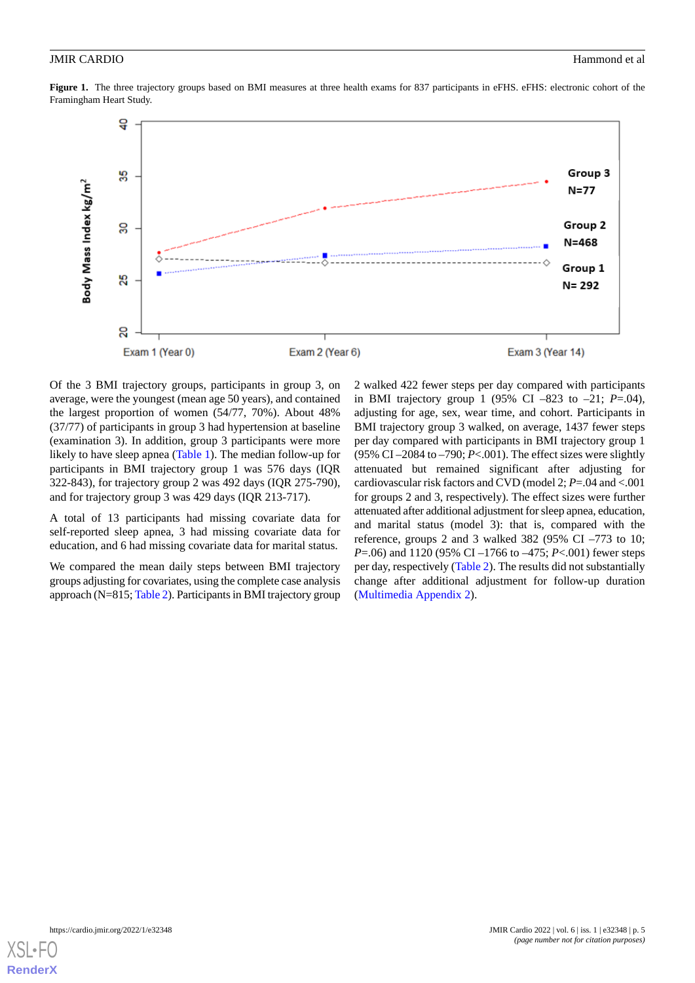<span id="page-4-0"></span>Figure 1. The three trajectory groups based on BMI measures at three health exams for 837 participants in eFHS. eFHS: electronic cohort of the Framingham Heart Study.



Of the 3 BMI trajectory groups, participants in group 3, on average, were the youngest (mean age 50 years), and contained the largest proportion of women (54/77, 70%). About 48% (37/77) of participants in group 3 had hypertension at baseline (examination 3). In addition, group 3 participants were more likely to have sleep apnea ([Table 1](#page-3-0)). The median follow-up for participants in BMI trajectory group 1 was 576 days (IQR 322-843), for trajectory group 2 was 492 days (IQR 275-790), and for trajectory group 3 was 429 days (IQR 213-717).

A total of 13 participants had missing covariate data for self-reported sleep apnea, 3 had missing covariate data for education, and 6 had missing covariate data for marital status.

We compared the mean daily steps between BMI trajectory groups adjusting for covariates, using the complete case analysis approach (N=815; [Table 2\)](#page-5-0). Participants in BMI trajectory group 2 walked 422 fewer steps per day compared with participants in BMI trajectory group 1 (95% CI –823 to –21;  $P = .04$ ), adjusting for age, sex, wear time, and cohort. Participants in BMI trajectory group 3 walked, on average, 1437 fewer steps per day compared with participants in BMI trajectory group 1 (95% CI –2084 to –790; *P*<.001). The effect sizes were slightly attenuated but remained significant after adjusting for cardiovascular risk factors and CVD (model 2; *P*=.04 and <.001 for groups 2 and 3, respectively). The effect sizes were further attenuated after additional adjustment for sleep apnea, education, and marital status (model 3): that is, compared with the reference, groups 2 and 3 walked 382 (95% CI –773 to 10; *P*=.06) and 1120 (95% CI –1766 to –475; *P*<.001) fewer steps per day, respectively [\(Table 2](#page-5-0)). The results did not substantially change after additional adjustment for follow-up duration ([Multimedia Appendix 2](#page-8-16)).

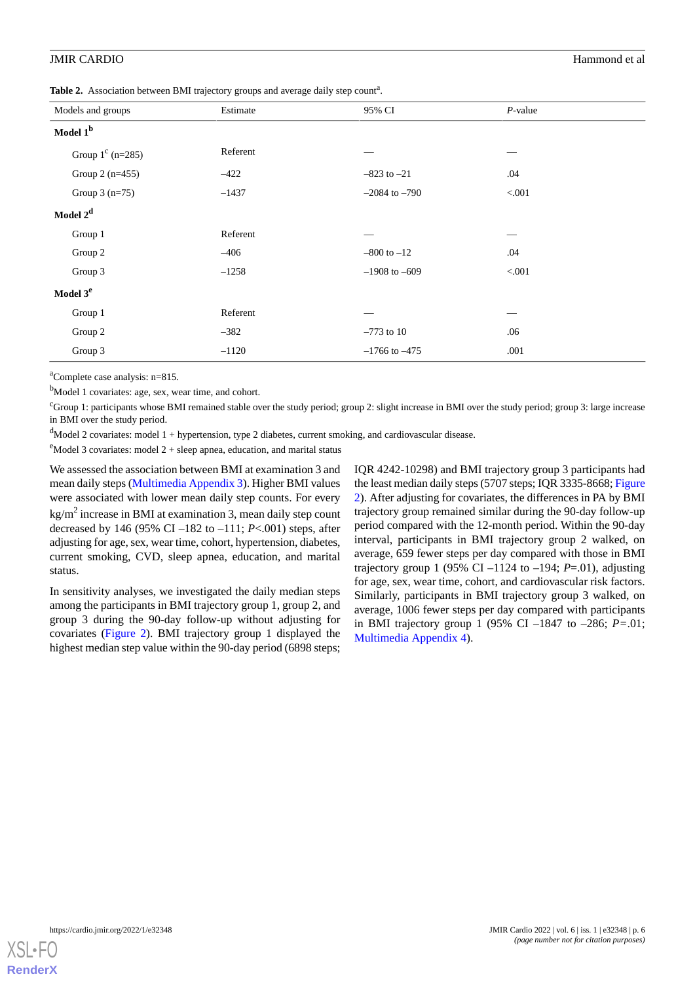<span id="page-5-0"></span>Table 2. Association between BMI trajectory groups and average daily step count<sup>a</sup>.

| Models and groups         | Estimate | 95% CI            | $P$ -value |  |  |
|---------------------------|----------|-------------------|------------|--|--|
| Model 1 <sup>b</sup>      |          |                   |            |  |  |
| Group $1^{\circ}$ (n=285) | Referent |                   |            |  |  |
| Group $2(n=455)$          | $-422$   | $-823$ to $-21$   | .04        |  |  |
| Group $3(n=75)$           | $-1437$  | $-2084$ to $-790$ | < 0.001    |  |  |
| Model 2 <sup>d</sup>      |          |                   |            |  |  |
| Group 1                   | Referent |                   |            |  |  |
| Group 2                   | $-406$   | $-800$ to $-12$   | .04        |  |  |
| Group 3                   | $-1258$  | $-1908$ to $-609$ | < 0.001    |  |  |
| Model 3 <sup>e</sup>      |          |                   |            |  |  |
| Group 1                   | Referent |                   |            |  |  |
| Group 2                   | $-382$   | $-773$ to 10      | .06        |  |  |
| Group 3                   | $-1120$  | $-1766$ to $-475$ | .001       |  |  |

<sup>a</sup>Complete case analysis: n=815.

<sup>b</sup>Model 1 covariates: age, sex, wear time, and cohort.

 $c$ Group 1: participants whose BMI remained stable over the study period; group 2: slight increase in BMI over the study period; group 3: large increase in BMI over the study period.

 $d$ Model 2 covariates: model 1 + hypertension, type 2 diabetes, current smoking, and cardiovascular disease.

 $e^{e}$ Model 3 covariates: model 2 + sleep apnea, education, and marital status

We assessed the association between BMI at examination 3 and mean daily steps [\(Multimedia Appendix 3](#page-8-17)). Higher BMI values were associated with lower mean daily step counts. For every kg/m<sup>2</sup> increase in BMI at examination 3, mean daily step count decreased by 146 (95% CI –182 to –111; *P*<.001) steps, after adjusting for age, sex, wear time, cohort, hypertension, diabetes, current smoking, CVD, sleep apnea, education, and marital status.

In sensitivity analyses, we investigated the daily median steps among the participants in BMI trajectory group 1, group 2, and group 3 during the 90-day follow-up without adjusting for covariates [\(Figure 2](#page-6-0)). BMI trajectory group 1 displayed the highest median step value within the 90-day period (6898 steps;

IQR 4242-10298) and BMI trajectory group 3 participants had the least median daily steps (5707 steps; IQR 3335-8668; [Figure](#page-6-0) [2\)](#page-6-0). After adjusting for covariates, the differences in PA by BMI trajectory group remained similar during the 90-day follow-up period compared with the 12-month period. Within the 90-day interval, participants in BMI trajectory group 2 walked, on average, 659 fewer steps per day compared with those in BMI trajectory group 1 (95% CI –1124 to –194; *P*=.01), adjusting for age, sex, wear time, cohort, and cardiovascular risk factors. Similarly, participants in BMI trajectory group 3 walked, on average, 1006 fewer steps per day compared with participants in BMI trajectory group 1 (95% CI –1847 to –286; *P=*.01; [Multimedia Appendix 4\)](#page-8-18).

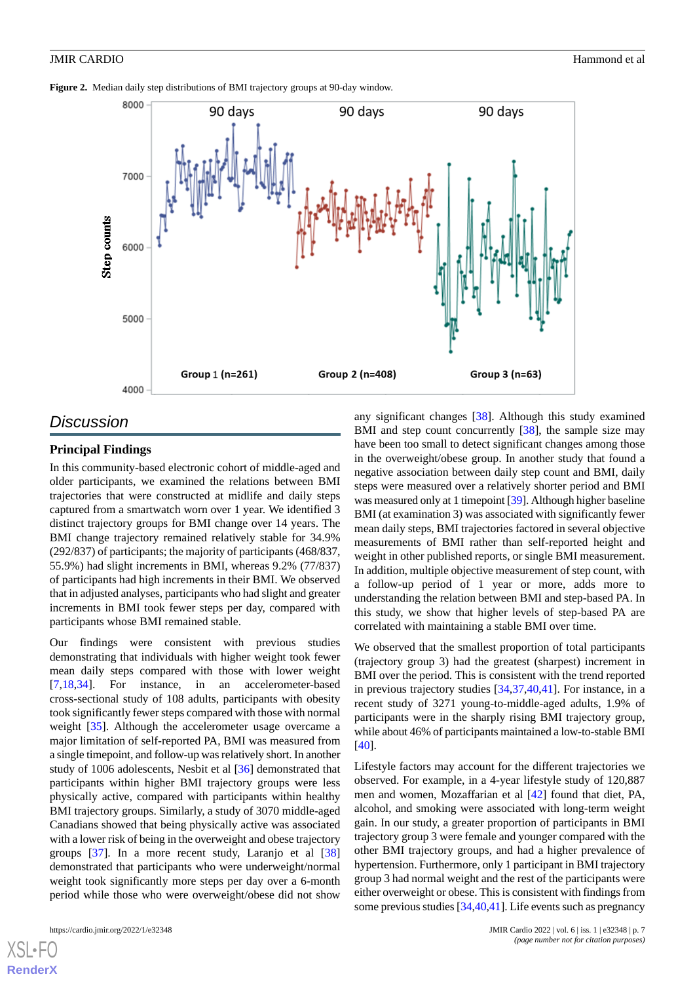<span id="page-6-0"></span>



## *Discussion*

### **Principal Findings**

In this community-based electronic cohort of middle-aged and older participants, we examined the relations between BMI trajectories that were constructed at midlife and daily steps captured from a smartwatch worn over 1 year. We identified 3 distinct trajectory groups for BMI change over 14 years. The BMI change trajectory remained relatively stable for 34.9% (292/837) of participants; the majority of participants (468/837, 55.9%) had slight increments in BMI, whereas 9.2% (77/837) of participants had high increments in their BMI. We observed that in adjusted analyses, participants who had slight and greater increments in BMI took fewer steps per day, compared with participants whose BMI remained stable.

Our findings were consistent with previous studies demonstrating that individuals with higher weight took fewer mean daily steps compared with those with lower weight [[7](#page-8-6)[,18](#page-9-0),[34\]](#page-9-15). For instance, in an accelerometer-based cross-sectional study of 108 adults, participants with obesity took significantly fewer steps compared with those with normal weight [[35\]](#page-9-16). Although the accelerometer usage overcame a major limitation of self-reported PA, BMI was measured from a single timepoint, and follow-up was relatively short. In another study of 1006 adolescents, Nesbit et al [[36\]](#page-9-17) demonstrated that participants within higher BMI trajectory groups were less physically active, compared with participants within healthy BMI trajectory groups. Similarly, a study of 3070 middle-aged Canadians showed that being physically active was associated with a lower risk of being in the overweight and obese trajectory groups [[37\]](#page-10-0). In a more recent study, Laranjo et al [\[38](#page-10-1)] demonstrated that participants who were underweight/normal weight took significantly more steps per day over a 6-month period while those who were overweight/obese did not show

[XSL](http://www.w3.org/Style/XSL)•FO **[RenderX](http://www.renderx.com/)**

any significant changes [[38\]](#page-10-1). Although this study examined BMI and step count concurrently [\[38](#page-10-1)], the sample size may have been too small to detect significant changes among those in the overweight/obese group. In another study that found a negative association between daily step count and BMI, daily steps were measured over a relatively shorter period and BMI was measured only at 1 timepoint [[39\]](#page-10-2). Although higher baseline BMI (at examination 3) was associated with significantly fewer mean daily steps, BMI trajectories factored in several objective measurements of BMI rather than self-reported height and weight in other published reports, or single BMI measurement. In addition, multiple objective measurement of step count, with a follow-up period of 1 year or more, adds more to understanding the relation between BMI and step-based PA. In this study, we show that higher levels of step-based PA are correlated with maintaining a stable BMI over time.

We observed that the smallest proportion of total participants (trajectory group 3) had the greatest (sharpest) increment in BMI over the period. This is consistent with the trend reported in previous trajectory studies [[34,](#page-9-15)[37](#page-10-0),[40,](#page-10-3)[41](#page-10-4)]. For instance, in a recent study of 3271 young-to-middle-aged adults, 1.9% of participants were in the sharply rising BMI trajectory group, while about 46% of participants maintained a low-to-stable BMI [[40\]](#page-10-3).

Lifestyle factors may account for the different trajectories we observed. For example, in a 4-year lifestyle study of 120,887 men and women, Mozaffarian et al [\[42](#page-10-5)] found that diet, PA, alcohol, and smoking were associated with long-term weight gain. In our study, a greater proportion of participants in BMI trajectory group 3 were female and younger compared with the other BMI trajectory groups, and had a higher prevalence of hypertension. Furthermore, only 1 participant in BMI trajectory group 3 had normal weight and the rest of the participants were either overweight or obese. This is consistent with findings from some previous studies [[34](#page-9-15),[40](#page-10-3)[,41](#page-10-4)]. Life events such as pregnancy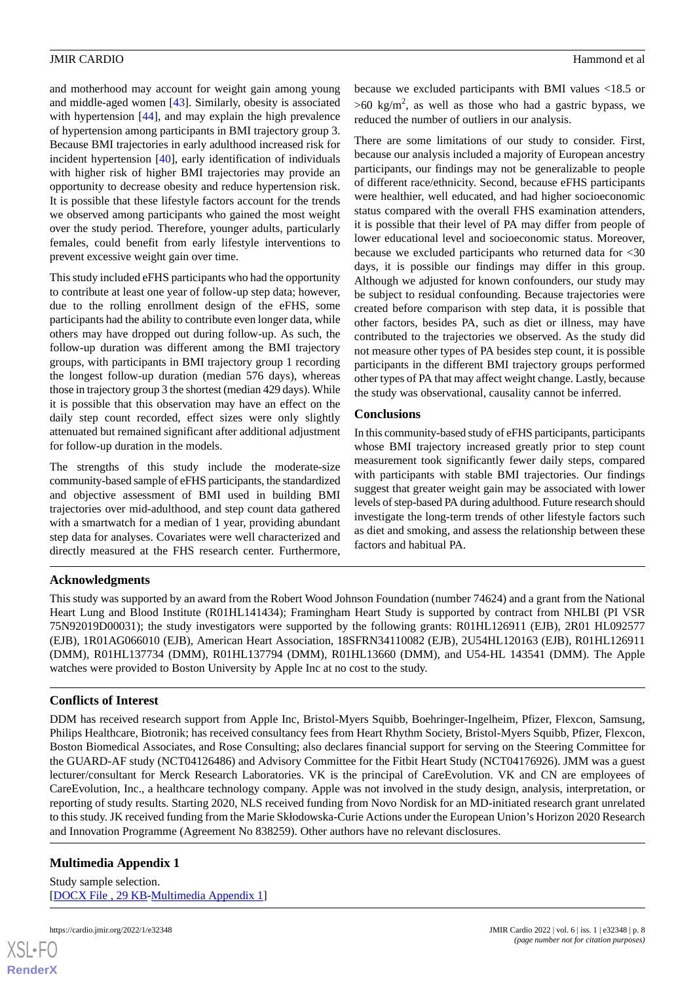and motherhood may account for weight gain among young and middle-aged women [\[43](#page-10-6)]. Similarly, obesity is associated with hypertension [[44\]](#page-10-7), and may explain the high prevalence of hypertension among participants in BMI trajectory group 3. Because BMI trajectories in early adulthood increased risk for incident hypertension [\[40](#page-10-3)], early identification of individuals with higher risk of higher BMI trajectories may provide an opportunity to decrease obesity and reduce hypertension risk. It is possible that these lifestyle factors account for the trends we observed among participants who gained the most weight over the study period. Therefore, younger adults, particularly females, could benefit from early lifestyle interventions to prevent excessive weight gain over time.

This study included eFHS participants who had the opportunity to contribute at least one year of follow-up step data; however, due to the rolling enrollment design of the eFHS, some participants had the ability to contribute even longer data, while others may have dropped out during follow-up. As such, the follow-up duration was different among the BMI trajectory groups, with participants in BMI trajectory group 1 recording the longest follow-up duration (median 576 days), whereas those in trajectory group 3 the shortest (median 429 days). While it is possible that this observation may have an effect on the daily step count recorded, effect sizes were only slightly attenuated but remained significant after additional adjustment for follow-up duration in the models.

The strengths of this study include the moderate-size community-based sample of eFHS participants, the standardized and objective assessment of BMI used in building BMI trajectories over mid-adulthood, and step count data gathered with a smartwatch for a median of 1 year, providing abundant step data for analyses. Covariates were well characterized and directly measured at the FHS research center. Furthermore,

because we excluded participants with BMI values <18.5 or  $>60$  kg/m<sup>2</sup>, as well as those who had a gastric bypass, we reduced the number of outliers in our analysis.

There are some limitations of our study to consider. First, because our analysis included a majority of European ancestry participants, our findings may not be generalizable to people of different race/ethnicity. Second, because eFHS participants were healthier, well educated, and had higher socioeconomic status compared with the overall FHS examination attenders, it is possible that their level of PA may differ from people of lower educational level and socioeconomic status. Moreover, because we excluded participants who returned data for <30 days, it is possible our findings may differ in this group. Although we adjusted for known confounders, our study may be subject to residual confounding. Because trajectories were created before comparison with step data, it is possible that other factors, besides PA, such as diet or illness, may have contributed to the trajectories we observed. As the study did not measure other types of PA besides step count, it is possible participants in the different BMI trajectory groups performed other types of PA that may affect weight change. Lastly, because the study was observational, causality cannot be inferred.

## **Conclusions**

In this community-based study of eFHS participants, participants whose BMI trajectory increased greatly prior to step count measurement took significantly fewer daily steps, compared with participants with stable BMI trajectories. Our findings suggest that greater weight gain may be associated with lower levels of step-based PA during adulthood. Future research should investigate the long-term trends of other lifestyle factors such as diet and smoking, and assess the relationship between these factors and habitual PA.

## **Acknowledgments**

This study was supported by an award from the Robert Wood Johnson Foundation (number 74624) and a grant from the National Heart Lung and Blood Institute (R01HL141434); Framingham Heart Study is supported by contract from NHLBI (PI VSR 75N92019D00031); the study investigators were supported by the following grants: R01HL126911 (EJB), 2R01 HL092577 (EJB), 1R01AG066010 (EJB), American Heart Association, 18SFRN34110082 (EJB), 2U54HL120163 (EJB), R01HL126911 (DMM), R01HL137734 (DMM), R01HL137794 (DMM), R01HL13660 (DMM), and U54-HL 143541 (DMM). The Apple watches were provided to Boston University by Apple Inc at no cost to the study.

## **Conflicts of Interest**

<span id="page-7-0"></span>DDM has received research support from Apple Inc, Bristol-Myers Squibb, Boehringer-Ingelheim, Pfizer, Flexcon, Samsung, Philips Healthcare, Biotronik; has received consultancy fees from Heart Rhythm Society, Bristol-Myers Squibb, Pfizer, Flexcon, Boston Biomedical Associates, and Rose Consulting; also declares financial support for serving on the Steering Committee for the GUARD-AF study (NCT04126486) and Advisory Committee for the Fitbit Heart Study (NCT04176926). JMM was a guest lecturer/consultant for Merck Research Laboratories. VK is the principal of CareEvolution. VK and CN are employees of CareEvolution, Inc., a healthcare technology company. Apple was not involved in the study design, analysis, interpretation, or reporting of study results. Starting 2020, NLS received funding from Novo Nordisk for an MD-initiated research grant unrelated to this study. JK received funding from the Marie Skłodowska-Curie Actions under the European Union's Horizon 2020 Research and Innovation Programme (Agreement No 838259). Other authors have no relevant disclosures.

## **Multimedia Appendix 1**

Study sample selection. [[DOCX File , 29 KB](https://jmir.org/api/download?alt_name=cardio_v6i1e32348_app1.docx&filename=342fe88680b116e49ff01389de601fbf.docx)-[Multimedia Appendix 1\]](https://jmir.org/api/download?alt_name=cardio_v6i1e32348_app1.docx&filename=342fe88680b116e49ff01389de601fbf.docx)

 $XS$  • FO **[RenderX](http://www.renderx.com/)**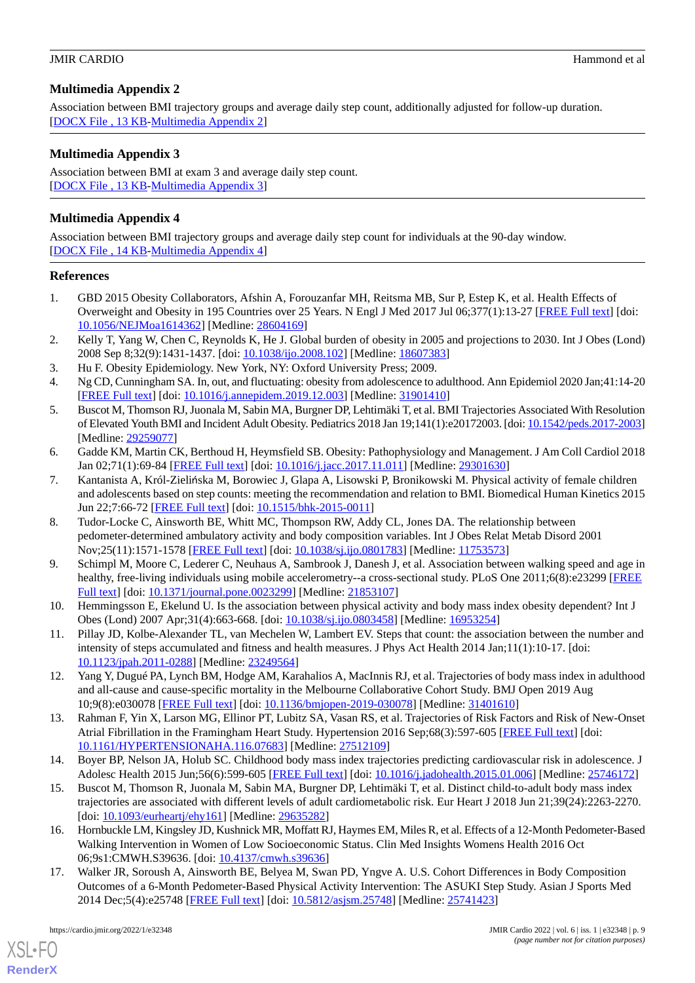## <span id="page-8-16"></span>**Multimedia Appendix 2**

Association between BMI trajectory groups and average daily step count, additionally adjusted for follow-up duration. [[DOCX File , 13 KB](https://jmir.org/api/download?alt_name=cardio_v6i1e32348_app2.docx&filename=e3d4404dc1860035ec71873a8f6006ee.docx)-[Multimedia Appendix 2\]](https://jmir.org/api/download?alt_name=cardio_v6i1e32348_app2.docx&filename=e3d4404dc1860035ec71873a8f6006ee.docx)

## <span id="page-8-17"></span>**Multimedia Appendix 3**

Association between BMI at exam 3 and average daily step count. [[DOCX File , 13 KB](https://jmir.org/api/download?alt_name=cardio_v6i1e32348_app3.docx&filename=6577bd7aa865bfb860c1623507fc23ab.docx)-[Multimedia Appendix 3\]](https://jmir.org/api/download?alt_name=cardio_v6i1e32348_app3.docx&filename=6577bd7aa865bfb860c1623507fc23ab.docx)

## <span id="page-8-18"></span>**Multimedia Appendix 4**

Association between BMI trajectory groups and average daily step count for individuals at the 90-day window. [[DOCX File , 14 KB](https://jmir.org/api/download?alt_name=cardio_v6i1e32348_app4.docx&filename=269462631a459d5de27567b14d681a6a.docx)-[Multimedia Appendix 4\]](https://jmir.org/api/download?alt_name=cardio_v6i1e32348_app4.docx&filename=269462631a459d5de27567b14d681a6a.docx)

## <span id="page-8-0"></span>**References**

- <span id="page-8-1"></span>1. GBD 2015 Obesity Collaborators, Afshin A, Forouzanfar MH, Reitsma MB, Sur P, Estep K, et al. Health Effects of Overweight and Obesity in 195 Countries over 25 Years. N Engl J Med 2017 Jul 06;377(1):13-27 [[FREE Full text](http://europepmc.org/abstract/MED/28604169)] [doi: [10.1056/NEJMoa1614362](http://dx.doi.org/10.1056/NEJMoa1614362)] [Medline: [28604169](http://www.ncbi.nlm.nih.gov/entrez/query.fcgi?cmd=Retrieve&db=PubMed&list_uids=28604169&dopt=Abstract)]
- <span id="page-8-3"></span><span id="page-8-2"></span>2. Kelly T, Yang W, Chen C, Reynolds K, He J. Global burden of obesity in 2005 and projections to 2030. Int J Obes (Lond) 2008 Sep 8;32(9):1431-1437. [doi: [10.1038/ijo.2008.102](http://dx.doi.org/10.1038/ijo.2008.102)] [Medline: [18607383](http://www.ncbi.nlm.nih.gov/entrez/query.fcgi?cmd=Retrieve&db=PubMed&list_uids=18607383&dopt=Abstract)]
- <span id="page-8-4"></span>3. Hu F. Obesity Epidemiology. New York, NY: Oxford University Press; 2009.
- 4. Ng CD, Cunningham SA. In, out, and fluctuating: obesity from adolescence to adulthood. Ann Epidemiol 2020 Jan;41:14-20 [[FREE Full text](http://europepmc.org/abstract/MED/31901410)] [doi: [10.1016/j.annepidem.2019.12.003](http://dx.doi.org/10.1016/j.annepidem.2019.12.003)] [Medline: [31901410](http://www.ncbi.nlm.nih.gov/entrez/query.fcgi?cmd=Retrieve&db=PubMed&list_uids=31901410&dopt=Abstract)]
- <span id="page-8-5"></span>5. Buscot M, Thomson RJ, Juonala M, Sabin MA, Burgner DP, Lehtimäki T, et al. BMI Trajectories Associated With Resolution of Elevated Youth BMI and Incident Adult Obesity. Pediatrics 2018 Jan 19;141(1):e20172003. [doi: [10.1542/peds.2017-2003](http://dx.doi.org/10.1542/peds.2017-2003)] [Medline: [29259077](http://www.ncbi.nlm.nih.gov/entrez/query.fcgi?cmd=Retrieve&db=PubMed&list_uids=29259077&dopt=Abstract)]
- <span id="page-8-6"></span>6. Gadde KM, Martin CK, Berthoud H, Heymsfield SB. Obesity: Pathophysiology and Management. J Am Coll Cardiol 2018 Jan 02;71(1):69-84 [[FREE Full text](https://linkinghub.elsevier.com/retrieve/pii/S0735-1097(17)41584-1)] [doi: [10.1016/j.jacc.2017.11.011\]](http://dx.doi.org/10.1016/j.jacc.2017.11.011) [Medline: [29301630](http://www.ncbi.nlm.nih.gov/entrez/query.fcgi?cmd=Retrieve&db=PubMed&list_uids=29301630&dopt=Abstract)]
- <span id="page-8-12"></span>7. Kantanista A, Król-Zielińska M, Borowiec J, Glapa A, Lisowski P, Bronikowski M. Physical activity of female children and adolescents based on step counts: meeting the recommendation and relation to BMI. Biomedical Human Kinetics 2015 Jun 22;7:66-72 [[FREE Full text](https://doi.org/10.1515/bhk-2015-0011)] [doi: [10.1515/bhk-2015-0011](http://dx.doi.org/10.1515/bhk-2015-0011)]
- 8. Tudor-Locke C, Ainsworth BE, Whitt MC, Thompson RW, Addy CL, Jones DA. The relationship between pedometer-determined ambulatory activity and body composition variables. Int J Obes Relat Metab Disord 2001 Nov;25(11):1571-1578 [[FREE Full text](https://doi.org/10.1038/sj.ijo.0801783)] [doi: [10.1038/sj.ijo.0801783](http://dx.doi.org/10.1038/sj.ijo.0801783)] [Medline: [11753573\]](http://www.ncbi.nlm.nih.gov/entrez/query.fcgi?cmd=Retrieve&db=PubMed&list_uids=11753573&dopt=Abstract)
- <span id="page-8-13"></span><span id="page-8-7"></span>9. Schimpl M, Moore C, Lederer C, Neuhaus A, Sambrook J, Danesh J, et al. Association between walking speed and age in healthy, free-living individuals using mobile accelerometry--a cross-sectional study. PLoS One 2011;6(8):e23299 [\[FREE](http://dx.plos.org/10.1371/journal.pone.0023299) [Full text\]](http://dx.plos.org/10.1371/journal.pone.0023299) [doi: [10.1371/journal.pone.0023299](http://dx.doi.org/10.1371/journal.pone.0023299)] [Medline: [21853107](http://www.ncbi.nlm.nih.gov/entrez/query.fcgi?cmd=Retrieve&db=PubMed&list_uids=21853107&dopt=Abstract)]
- <span id="page-8-8"></span>10. Hemmingsson E, Ekelund U. Is the association between physical activity and body mass index obesity dependent? Int J Obes (Lond) 2007 Apr;31(4):663-668. [doi: [10.1038/sj.ijo.0803458](http://dx.doi.org/10.1038/sj.ijo.0803458)] [Medline: [16953254](http://www.ncbi.nlm.nih.gov/entrez/query.fcgi?cmd=Retrieve&db=PubMed&list_uids=16953254&dopt=Abstract)]
- <span id="page-8-9"></span>11. Pillay JD, Kolbe-Alexander TL, van Mechelen W, Lambert EV. Steps that count: the association between the number and intensity of steps accumulated and fitness and health measures. J Phys Act Health 2014 Jan;11(1):10-17. [doi: [10.1123/jpah.2011-0288\]](http://dx.doi.org/10.1123/jpah.2011-0288) [Medline: [23249564\]](http://www.ncbi.nlm.nih.gov/entrez/query.fcgi?cmd=Retrieve&db=PubMed&list_uids=23249564&dopt=Abstract)
- <span id="page-8-10"></span>12. Yang Y, Dugué PA, Lynch BM, Hodge AM, Karahalios A, MacInnis RJ, et al. Trajectories of body mass index in adulthood and all-cause and cause-specific mortality in the Melbourne Collaborative Cohort Study. BMJ Open 2019 Aug 10;9(8):e030078 [\[FREE Full text](https://bmjopen.bmj.com/lookup/pmidlookup?view=long&pmid=31401610)] [doi: [10.1136/bmjopen-2019-030078\]](http://dx.doi.org/10.1136/bmjopen-2019-030078) [Medline: [31401610](http://www.ncbi.nlm.nih.gov/entrez/query.fcgi?cmd=Retrieve&db=PubMed&list_uids=31401610&dopt=Abstract)]
- <span id="page-8-11"></span>13. Rahman F, Yin X, Larson MG, Ellinor PT, Lubitz SA, Vasan RS, et al. Trajectories of Risk Factors and Risk of New-Onset Atrial Fibrillation in the Framingham Heart Study. Hypertension 2016 Sep;68(3):597-605 [\[FREE Full text\]](http://europepmc.org/abstract/MED/27512109) [doi: [10.1161/HYPERTENSIONAHA.116.07683](http://dx.doi.org/10.1161/HYPERTENSIONAHA.116.07683)] [Medline: [27512109\]](http://www.ncbi.nlm.nih.gov/entrez/query.fcgi?cmd=Retrieve&db=PubMed&list_uids=27512109&dopt=Abstract)
- <span id="page-8-14"></span>14. Boyer BP, Nelson JA, Holub SC. Childhood body mass index trajectories predicting cardiovascular risk in adolescence. J Adolesc Health 2015 Jun;56(6):599-605 [[FREE Full text](http://europepmc.org/abstract/MED/25746172)] [doi: [10.1016/j.jadohealth.2015.01.006](http://dx.doi.org/10.1016/j.jadohealth.2015.01.006)] [Medline: [25746172\]](http://www.ncbi.nlm.nih.gov/entrez/query.fcgi?cmd=Retrieve&db=PubMed&list_uids=25746172&dopt=Abstract)
- <span id="page-8-15"></span>15. Buscot M, Thomson R, Juonala M, Sabin MA, Burgner DP, Lehtimäki T, et al. Distinct child-to-adult body mass index trajectories are associated with different levels of adult cardiometabolic risk. Eur Heart J 2018 Jun 21;39(24):2263-2270. [doi: [10.1093/eurheartj/ehy161\]](http://dx.doi.org/10.1093/eurheartj/ehy161) [Medline: [29635282\]](http://www.ncbi.nlm.nih.gov/entrez/query.fcgi?cmd=Retrieve&db=PubMed&list_uids=29635282&dopt=Abstract)
- 16. Hornbuckle LM, Kingsley JD, Kushnick MR, Moffatt RJ, Haymes EM, Miles R, et al. Effects of a 12-Month Pedometer-Based Walking Intervention in Women of Low Socioeconomic Status. Clin Med Insights Womens Health 2016 Oct 06;9s1:CMWH.S39636. [doi: [10.4137/cmwh.s39636\]](http://dx.doi.org/10.4137/cmwh.s39636)
- 17. Walker JR, Soroush A, Ainsworth BE, Belyea M, Swan PD, Yngve A. U.S. Cohort Differences in Body Composition Outcomes of a 6-Month Pedometer-Based Physical Activity Intervention: The ASUKI Step Study. Asian J Sports Med 2014 Dec;5(4):e25748 [[FREE Full text](http://europepmc.org/abstract/MED/25741423)] [doi: [10.5812/asjsm.25748\]](http://dx.doi.org/10.5812/asjsm.25748) [Medline: [25741423\]](http://www.ncbi.nlm.nih.gov/entrez/query.fcgi?cmd=Retrieve&db=PubMed&list_uids=25741423&dopt=Abstract)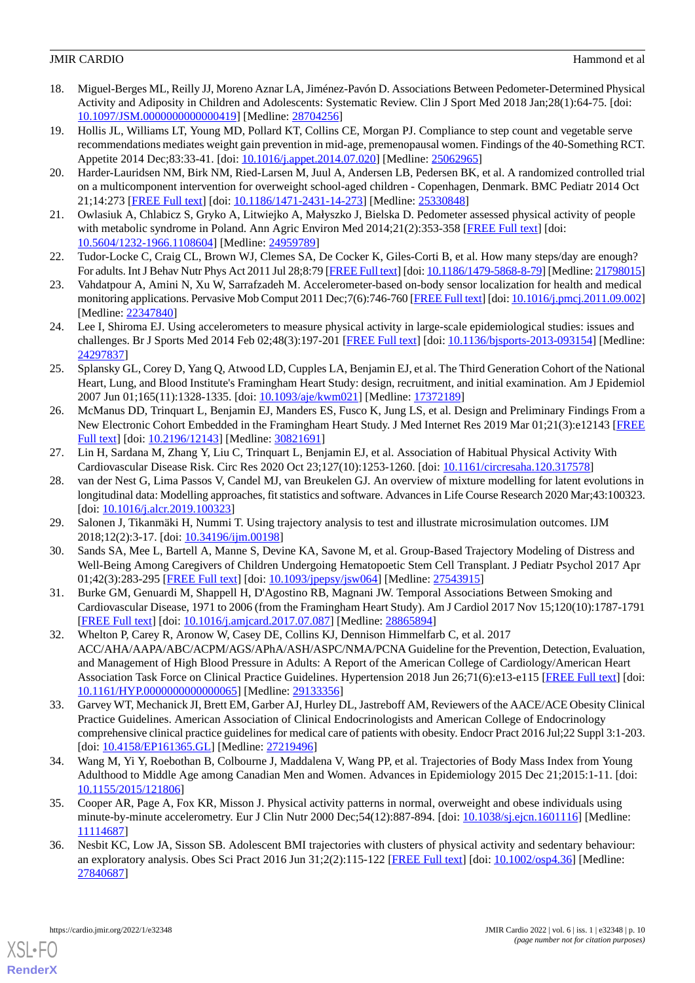- <span id="page-9-0"></span>18. Miguel-Berges ML, Reilly JJ, Moreno Aznar LA, Jiménez-Pavón D. Associations Between Pedometer-Determined Physical Activity and Adiposity in Children and Adolescents: Systematic Review. Clin J Sport Med 2018 Jan;28(1):64-75. [doi: [10.1097/JSM.0000000000000419\]](http://dx.doi.org/10.1097/JSM.0000000000000419) [Medline: [28704256](http://www.ncbi.nlm.nih.gov/entrez/query.fcgi?cmd=Retrieve&db=PubMed&list_uids=28704256&dopt=Abstract)]
- <span id="page-9-1"></span>19. Hollis JL, Williams LT, Young MD, Pollard KT, Collins CE, Morgan PJ. Compliance to step count and vegetable serve recommendations mediates weight gain prevention in mid-age, premenopausal women. Findings of the 40-Something RCT. Appetite 2014 Dec;83:33-41. [doi: [10.1016/j.appet.2014.07.020](http://dx.doi.org/10.1016/j.appet.2014.07.020)] [Medline: [25062965\]](http://www.ncbi.nlm.nih.gov/entrez/query.fcgi?cmd=Retrieve&db=PubMed&list_uids=25062965&dopt=Abstract)
- <span id="page-9-10"></span>20. Harder-Lauridsen NM, Birk NM, Ried-Larsen M, Juul A, Andersen LB, Pedersen BK, et al. A randomized controlled trial on a multicomponent intervention for overweight school-aged children - Copenhagen, Denmark. BMC Pediatr 2014 Oct 21;14:273 [[FREE Full text](https://bmcpediatr.biomedcentral.com/articles/10.1186/1471-2431-14-273)] [doi: [10.1186/1471-2431-14-273\]](http://dx.doi.org/10.1186/1471-2431-14-273) [Medline: [25330848\]](http://www.ncbi.nlm.nih.gov/entrez/query.fcgi?cmd=Retrieve&db=PubMed&list_uids=25330848&dopt=Abstract)
- <span id="page-9-3"></span><span id="page-9-2"></span>21. Owlasiuk A, Chlabicz S, Gryko A, Litwiejko A, Małyszko J, Bielska D. Pedometer assessed physical activity of people with metabolic syndrome in Poland. Ann Agric Environ Med 2014;21(2):353-358 [\[FREE Full text\]](http://www.aaem.pl/fulltext.php?ICID=1108604) [doi: [10.5604/1232-1966.1108604\]](http://dx.doi.org/10.5604/1232-1966.1108604) [Medline: [24959789](http://www.ncbi.nlm.nih.gov/entrez/query.fcgi?cmd=Retrieve&db=PubMed&list_uids=24959789&dopt=Abstract)]
- <span id="page-9-4"></span>22. Tudor-Locke C, Craig CL, Brown WJ, Clemes SA, De Cocker K, Giles-Corti B, et al. How many steps/day are enough? For adults. Int J Behav Nutr Phys Act 2011 Jul 28;8:79 [\[FREE Full text](https://ijbnpa.biomedcentral.com/articles/10.1186/1479-5868-8-79)] [doi: [10.1186/1479-5868-8-79](http://dx.doi.org/10.1186/1479-5868-8-79)] [Medline: [21798015\]](http://www.ncbi.nlm.nih.gov/entrez/query.fcgi?cmd=Retrieve&db=PubMed&list_uids=21798015&dopt=Abstract)
- <span id="page-9-5"></span>23. Vahdatpour A, Amini N, Xu W, Sarrafzadeh M. Accelerometer-based on-body sensor localization for health and medical monitoring applications. Pervasive Mob Comput 2011 Dec;7(6):746-760 [[FREE Full text\]](http://europepmc.org/abstract/MED/22347840) [doi: [10.1016/j.pmcj.2011.09.002\]](http://dx.doi.org/10.1016/j.pmcj.2011.09.002) [Medline: [22347840](http://www.ncbi.nlm.nih.gov/entrez/query.fcgi?cmd=Retrieve&db=PubMed&list_uids=22347840&dopt=Abstract)]
- <span id="page-9-6"></span>24. Lee I, Shiroma EJ. Using accelerometers to measure physical activity in large-scale epidemiological studies: issues and challenges. Br J Sports Med 2014 Feb 02;48(3):197-201 [[FREE Full text](http://europepmc.org/abstract/MED/24297837)] [doi: [10.1136/bjsports-2013-093154\]](http://dx.doi.org/10.1136/bjsports-2013-093154) [Medline: [24297837](http://www.ncbi.nlm.nih.gov/entrez/query.fcgi?cmd=Retrieve&db=PubMed&list_uids=24297837&dopt=Abstract)]
- <span id="page-9-7"></span>25. Splansky GL, Corey D, Yang Q, Atwood LD, Cupples LA, Benjamin EJ, et al. The Third Generation Cohort of the National Heart, Lung, and Blood Institute's Framingham Heart Study: design, recruitment, and initial examination. Am J Epidemiol 2007 Jun 01;165(11):1328-1335. [doi: [10.1093/aje/kwm021](http://dx.doi.org/10.1093/aje/kwm021)] [Medline: [17372189\]](http://www.ncbi.nlm.nih.gov/entrez/query.fcgi?cmd=Retrieve&db=PubMed&list_uids=17372189&dopt=Abstract)
- <span id="page-9-8"></span>26. McManus DD, Trinquart L, Benjamin EJ, Manders ES, Fusco K, Jung LS, et al. Design and Preliminary Findings From a New Electronic Cohort Embedded in the Framingham Heart Study. J Med Internet Res 2019 Mar 01;21(3):e12143 [\[FREE](https://www.jmir.org/2019/3/e12143/) [Full text\]](https://www.jmir.org/2019/3/e12143/) [doi: [10.2196/12143\]](http://dx.doi.org/10.2196/12143) [Medline: [30821691](http://www.ncbi.nlm.nih.gov/entrez/query.fcgi?cmd=Retrieve&db=PubMed&list_uids=30821691&dopt=Abstract)]
- <span id="page-9-9"></span>27. Lin H, Sardana M, Zhang Y, Liu C, Trinquart L, Benjamin EJ, et al. Association of Habitual Physical Activity With Cardiovascular Disease Risk. Circ Res 2020 Oct 23;127(10):1253-1260. [doi: [10.1161/circresaha.120.317578\]](http://dx.doi.org/10.1161/circresaha.120.317578)
- <span id="page-9-11"></span>28. van der Nest G, Lima Passos V, Candel MJ, van Breukelen GJ. An overview of mixture modelling for latent evolutions in longitudinal data: Modelling approaches, fit statistics and software. Advances in Life Course Research 2020 Mar;43:100323. [doi: [10.1016/j.alcr.2019.100323\]](http://dx.doi.org/10.1016/j.alcr.2019.100323)
- <span id="page-9-12"></span>29. Salonen J, Tikanmäki H, Nummi T. Using trajectory analysis to test and illustrate microsimulation outcomes. IJM 2018;12(2):3-17. [doi: [10.34196/ijm.00198\]](http://dx.doi.org/10.34196/ijm.00198)
- <span id="page-9-13"></span>30. Sands SA, Mee L, Bartell A, Manne S, Devine KA, Savone M, et al. Group-Based Trajectory Modeling of Distress and Well-Being Among Caregivers of Children Undergoing Hematopoetic Stem Cell Transplant. J Pediatr Psychol 2017 Apr 01;42(3):283-295 [[FREE Full text](http://europepmc.org/abstract/MED/27543915)] [doi: [10.1093/jpepsy/jsw064\]](http://dx.doi.org/10.1093/jpepsy/jsw064) [Medline: [27543915](http://www.ncbi.nlm.nih.gov/entrez/query.fcgi?cmd=Retrieve&db=PubMed&list_uids=27543915&dopt=Abstract)]
- 31. Burke GM, Genuardi M, Shappell H, D'Agostino RB, Magnani JW. Temporal Associations Between Smoking and Cardiovascular Disease, 1971 to 2006 (from the Framingham Heart Study). Am J Cardiol 2017 Nov 15;120(10):1787-1791 [[FREE Full text](http://europepmc.org/abstract/MED/28865894)] [doi: [10.1016/j.amjcard.2017.07.087\]](http://dx.doi.org/10.1016/j.amjcard.2017.07.087) [Medline: [28865894](http://www.ncbi.nlm.nih.gov/entrez/query.fcgi?cmd=Retrieve&db=PubMed&list_uids=28865894&dopt=Abstract)]
- <span id="page-9-14"></span>32. Whelton P, Carey R, Aronow W, Casey DE, Collins KJ, Dennison Himmelfarb C, et al. 2017 ACC/AHA/AAPA/ABC/ACPM/AGS/APhA/ASH/ASPC/NMA/PCNA Guideline for the Prevention, Detection, Evaluation, and Management of High Blood Pressure in Adults: A Report of the American College of Cardiology/American Heart Association Task Force on Clinical Practice Guidelines. Hypertension 2018 Jun 26;71(6):e13-e115 [[FREE Full text](https://www.ahajournals.org/doi/abs/10.1161/HYP.0000000000000065?url_ver=Z39.88-2003&rfr_id=ori:rid:crossref.org&rfr_dat=cr_pub%3dpubmed)] [doi: [10.1161/HYP.0000000000000065](http://dx.doi.org/10.1161/HYP.0000000000000065)] [Medline: [29133356\]](http://www.ncbi.nlm.nih.gov/entrez/query.fcgi?cmd=Retrieve&db=PubMed&list_uids=29133356&dopt=Abstract)
- <span id="page-9-16"></span><span id="page-9-15"></span>33. Garvey WT, Mechanick JI, Brett EM, Garber AJ, Hurley DL, Jastreboff AM, Reviewers of the AACE/ACE Obesity Clinical Practice Guidelines. American Association of Clinical Endocrinologists and American College of Endocrinology comprehensive clinical practice guidelines for medical care of patients with obesity. Endocr Pract 2016 Jul;22 Suppl 3:1-203. [doi: [10.4158/EP161365.GL\]](http://dx.doi.org/10.4158/EP161365.GL) [Medline: [27219496](http://www.ncbi.nlm.nih.gov/entrez/query.fcgi?cmd=Retrieve&db=PubMed&list_uids=27219496&dopt=Abstract)]
- <span id="page-9-17"></span>34. Wang M, Yi Y, Roebothan B, Colbourne J, Maddalena V, Wang PP, et al. Trajectories of Body Mass Index from Young Adulthood to Middle Age among Canadian Men and Women. Advances in Epidemiology 2015 Dec 21;2015:1-11. [doi: [10.1155/2015/121806\]](http://dx.doi.org/10.1155/2015/121806)
- 35. Cooper AR, Page A, Fox KR, Misson J. Physical activity patterns in normal, overweight and obese individuals using minute-by-minute accelerometry. Eur J Clin Nutr 2000 Dec;54(12):887-894. [doi: [10.1038/sj.ejcn.1601116](http://dx.doi.org/10.1038/sj.ejcn.1601116)] [Medline: [11114687](http://www.ncbi.nlm.nih.gov/entrez/query.fcgi?cmd=Retrieve&db=PubMed&list_uids=11114687&dopt=Abstract)]
- 36. Nesbit KC, Low JA, Sisson SB. Adolescent BMI trajectories with clusters of physical activity and sedentary behaviour: an exploratory analysis. Obes Sci Pract 2016 Jun 31;2(2):115-122 [[FREE Full text](http://europepmc.org/abstract/MED/27840687)] [doi: [10.1002/osp4.36](http://dx.doi.org/10.1002/osp4.36)] [Medline: [27840687](http://www.ncbi.nlm.nih.gov/entrez/query.fcgi?cmd=Retrieve&db=PubMed&list_uids=27840687&dopt=Abstract)]